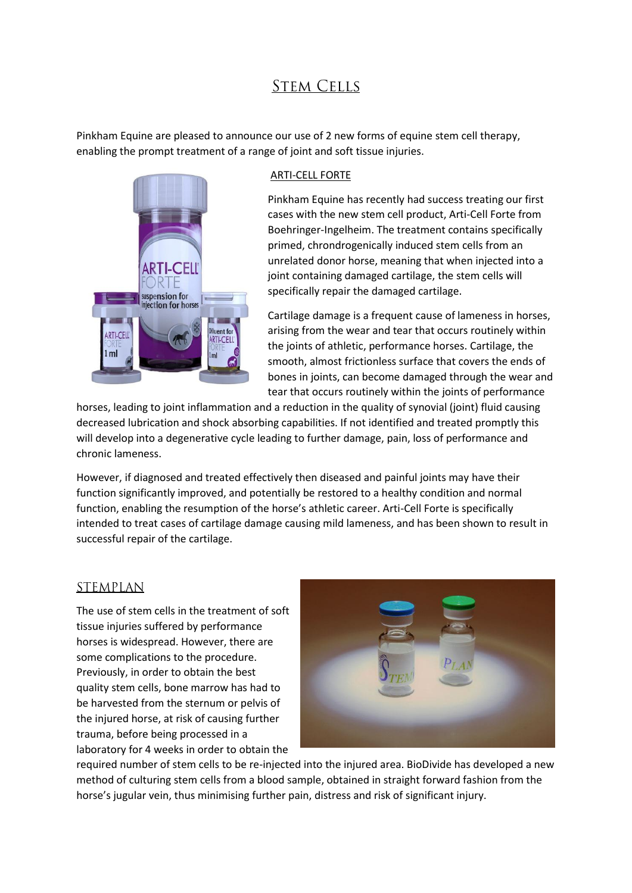## **STEM CELLS**

Pinkham Equine are pleased to announce our use of 2 new forms of equine stem cell therapy, enabling the prompt treatment of a range of joint and soft tissue injuries.



## ARTI-CELL FORTE

Pinkham Equine has recently had success treating our first cases with the new stem cell product, Arti-Cell Forte from Boehringer-Ingelheim. The treatment contains specifically primed, chrondrogenically induced stem cells from an unrelated donor horse, meaning that when injected into a joint containing damaged cartilage, the stem cells will specifically repair the damaged cartilage.

Cartilage damage is a frequent cause of lameness in horses, arising from the wear and tear that occurs routinely within the joints of athletic, performance horses. Cartilage, the smooth, almost frictionless surface that covers the ends of bones in joints, can become damaged through the wear and tear that occurs routinely within the joints of performance

horses, leading to joint inflammation and a reduction in the quality of synovial (joint) fluid causing decreased lubrication and shock absorbing capabilities. If not identified and treated promptly this will develop into a degenerative cycle leading to further damage, pain, loss of performance and chronic lameness.

However, if diagnosed and treated effectively then diseased and painful joints may have their function significantly improved, and potentially be restored to a healthy condition and normal function, enabling the resumption of the horse's athletic career. Arti-Cell Forte is specifically intended to treat cases of cartilage damage causing mild lameness, and has been shown to result in successful repair of the cartilage.

## **STEMPLAN**

The use of stem cells in the treatment of soft tissue injuries suffered by performance horses is widespread. However, there are some complications to the procedure. Previously, in order to obtain the best quality stem cells, bone marrow has had to be harvested from the sternum or pelvis of the injured horse, at risk of causing further trauma, before being processed in a laboratory for 4 weeks in order to obtain the



required number of stem cells to be re-injected into the injured area. BioDivide has developed a new method of culturing stem cells from a blood sample, obtained in straight forward fashion from the horse's jugular vein, thus minimising further pain, distress and risk of significant injury.